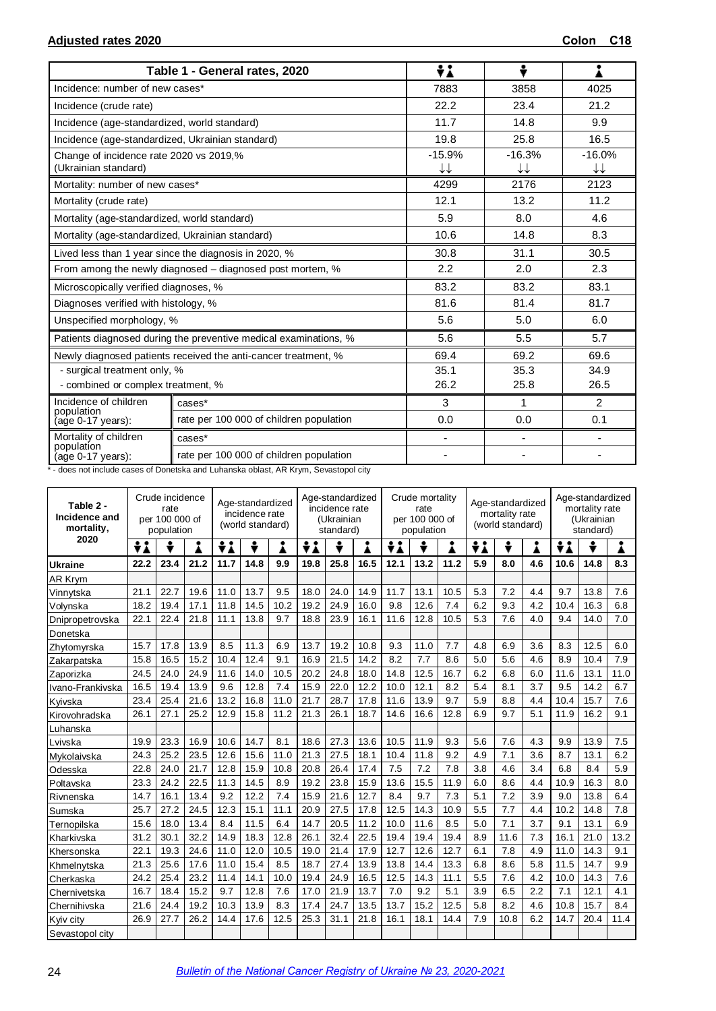|                                                                 | Table 1 - General rates, 2020                                    | ÷i             | ÷              |                |
|-----------------------------------------------------------------|------------------------------------------------------------------|----------------|----------------|----------------|
| Incidence: number of new cases*                                 |                                                                  | 7883           | 3858           | 4025           |
| Incidence (crude rate)                                          |                                                                  | 22.2           | 23.4           | 21.2           |
| Incidence (age-standardized, world standard)                    |                                                                  | 11.7           | 14.8           | 9.9            |
| Incidence (age-standardized, Ukrainian standard)                |                                                                  | 19.8           | 25.8           | 16.5           |
| Change of incidence rate 2020 vs 2019,%<br>(Ukrainian standard) |                                                                  | $-15.9%$<br>↓↓ | $-16.3%$<br>↓↓ | $-16.0%$<br>↓↓ |
| Mortality: number of new cases*                                 |                                                                  | 4299           | 2176           | 2123           |
| Mortality (crude rate)                                          |                                                                  | 12.1           | 13.2           | 11.2           |
| Mortality (age-standardized, world standard)                    |                                                                  | 5.9            | 8.0            | 4.6            |
| Mortality (age-standardized, Ukrainian standard)                |                                                                  | 10.6           | 14.8           | 8.3            |
|                                                                 | Lived less than 1 year since the diagnosis in 2020, %            | 30.8           | 31.1           | 30.5           |
|                                                                 | From among the newly diagnosed – diagnosed post mortem, %        | 2.2            | 2.0            | 2.3            |
| Microscopically verified diagnoses, %                           |                                                                  | 83.2           | 83.2           | 83.1           |
| Diagnoses verified with histology, %                            |                                                                  | 81.6           | 81.4           | 81.7           |
| Unspecified morphology, %                                       |                                                                  | 5.6            | 5.0            | 6.0            |
|                                                                 | Patients diagnosed during the preventive medical examinations, % | 5.6            | 5.5            | 5.7            |
|                                                                 | Newly diagnosed patients received the anti-cancer treatment, %   | 69.4           | 69.2           | 69.6           |
| - surgical treatment only, %                                    |                                                                  | 35.1           | 35.3           | 34.9           |
| - combined or complex treatment, %                              |                                                                  | 26.2           | 25.8           | 26.5           |
| Incidence of children<br>population                             | cases*                                                           | 3              | 1              | $\mathcal{P}$  |
| (age 0-17 years):                                               | rate per 100 000 of children population                          | 0.0            | 0.0            | 0.1            |
| Mortality of children                                           | cases*                                                           | $\blacksquare$ | ä,             |                |
| population<br>(age 0-17 years):                                 | rate per 100 000 of children population                          |                |                |                |

\* - does not include cases of Donetska and Luhanska oblast, AR Krym, Sevastopol city

| Table 2 -<br>Incidence and<br>mortality, | Crude incidence<br>rate<br>per 100 000 of<br>population |      |      |      | Age-standardized<br>incidence rate<br>(world standard) |      | Age-standardized<br>incidence rate<br>(Ukrainian<br>standard) |      |      | Crude mortality<br>rate<br>per 100 000 of<br>population |      |      | Age-standardized<br>mortality rate<br>(world standard) |        |     | Age-standardized<br>mortality rate<br>(Ukrainian<br>standard) |      |      |
|------------------------------------------|---------------------------------------------------------|------|------|------|--------------------------------------------------------|------|---------------------------------------------------------------|------|------|---------------------------------------------------------|------|------|--------------------------------------------------------|--------|-----|---------------------------------------------------------------|------|------|
| 2020                                     | ÷i                                                      | ÷    |      | ÷λ   | ÷                                                      | Å    | ŧλ                                                            | ÷    | i    | ÷λ                                                      |      |      | ÷i                                                     | ÷<br>Å |     |                                                               | ÷    | Å    |
| <b>Ukraine</b>                           | 22.2                                                    | 23.4 | 21.2 | 11.7 | 14.8                                                   | 9.9  | 19.8                                                          | 25.8 | 16.5 | 12.1                                                    | 13.2 | 11.2 | 5.9                                                    | 8.0    | 4.6 | 10.6                                                          | 14.8 | 8.3  |
| AR Krym                                  |                                                         |      |      |      |                                                        |      |                                                               |      |      |                                                         |      |      |                                                        |        |     |                                                               |      |      |
| Vinnytska                                | 21.1                                                    | 22.7 | 19.6 | 11.0 | 13.7                                                   | 9.5  | 18.0                                                          | 24.0 | 14.9 | 11.7                                                    | 13.1 | 10.5 | 5.3                                                    | 7.2    | 4.4 | 9.7                                                           | 13.8 | 7.6  |
| Volynska                                 | 18.2                                                    | 19.4 | 17.1 | 11.8 | 14.5                                                   | 10.2 | 19.2                                                          | 24.9 | 16.0 | 9.8                                                     | 12.6 | 7.4  | 6.2                                                    | 9.3    | 4.2 | 10.4                                                          | 16.3 | 6.8  |
| Dnipropetrovska                          | 22.1                                                    | 22.4 | 21.8 | 11.1 | 13.8                                                   | 9.7  | 18.8                                                          | 23.9 | 16.1 | 11.6                                                    | 12.8 | 10.5 | 5.3                                                    | 7.6    | 4.0 | 9.4                                                           | 14.0 | 7.0  |
| Donetska                                 |                                                         |      |      |      |                                                        |      |                                                               |      |      |                                                         |      |      |                                                        |        |     |                                                               |      |      |
| Zhytomyrska                              | 15.7                                                    | 17.8 | 13.9 | 8.5  | 11.3                                                   | 6.9  | 13.7                                                          | 19.2 | 10.8 | 9.3                                                     | 11.0 | 7.7  | 4.8                                                    | 6.9    | 3.6 | 8.3                                                           | 12.5 | 6.0  |
| Zakarpatska                              | 15.8                                                    | 16.5 | 15.2 | 10.4 | 12.4                                                   | 9.1  | 16.9                                                          | 21.5 | 14.2 | 8.2                                                     | 7.7  | 8.6  | 5.0                                                    | 5.6    | 4.6 | 8.9                                                           | 10.4 | 7.9  |
| Zaporizka                                | 24.5                                                    | 24.0 | 24.9 | 11.6 | 14.0                                                   | 10.5 | 20.2                                                          | 24.8 | 18.0 | 14.8                                                    | 12.5 | 16.7 | 6.2                                                    | 6.8    | 6.0 | 11.6                                                          | 13.1 | 11.0 |
| Ivano-Frankivska                         | 16.5                                                    | 19.4 | 13.9 | 9.6  | 12.8                                                   | 7.4  | 15.9                                                          | 22.0 | 12.2 | 10.0                                                    | 12.1 | 8.2  | 5.4                                                    | 8.1    | 3.7 | 9.5                                                           | 14.2 | 6.7  |
| Kvivska                                  | 23.4                                                    | 25.4 | 21.6 | 13.2 | 16.8                                                   | 11.0 | 21.7                                                          | 28.7 | 17.8 | 11.6                                                    | 13.9 | 9.7  | 5.9                                                    | 8.8    | 4.4 | 10.4                                                          | 15.7 | 7.6  |
| Kirovohradska                            | 26.1                                                    | 27.1 | 25.2 | 12.9 | 15.8                                                   | 11.2 | 21.3                                                          | 26.1 | 18.7 | 14.6                                                    | 16.6 | 12.8 | 6.9                                                    | 9.7    | 5.1 | 11.9                                                          | 16.2 | 9.1  |
| Luhanska                                 |                                                         |      |      |      |                                                        |      |                                                               |      |      |                                                         |      |      |                                                        |        |     |                                                               |      |      |
| Lvivska                                  | 19.9                                                    | 23.3 | 16.9 | 10.6 | 14.7                                                   | 8.1  | 18.6                                                          | 27.3 | 13.6 | 10.5                                                    | 11.9 | 9.3  | 5.6                                                    | 7.6    | 4.3 | 9.9                                                           | 13.9 | 7.5  |
| Mykolaivska                              | 24.3                                                    | 25.2 | 23.5 | 12.6 | 15.6                                                   | 11.0 | 21.3                                                          | 27.5 | 18.1 | 10.4                                                    | 11.8 | 9.2  | 4.9                                                    | 7.1    | 3.6 | 8.7                                                           | 13.1 | 6.2  |
| Odesska                                  | 22.8                                                    | 24.0 | 21.7 | 12.8 | 15.9                                                   | 10.8 | 20.8                                                          | 26.4 | 17.4 | 7.5                                                     | 7.2  | 7.8  | 3.8                                                    | 4.6    | 3.4 | 6.8                                                           | 8.4  | 5.9  |
| Poltavska                                | 23.3                                                    | 24.2 | 22.5 | 11.3 | 14.5                                                   | 8.9  | 19.2                                                          | 23.8 | 15.9 | 13.6                                                    | 15.5 | 11.9 | 6.0                                                    | 8.6    | 4.4 | 10.9                                                          | 16.3 | 8.0  |
| Rivnenska                                | 14.7                                                    | 16.1 | 13.4 | 9.2  | 12.2                                                   | 7.4  | 15.9                                                          | 21.6 | 12.7 | 8.4                                                     | 9.7  | 7.3  | 5.1                                                    | 7.2    | 3.9 | 9.0                                                           | 13.8 | 6.4  |
| Sumska                                   | 25.7                                                    | 27.2 | 24.5 | 12.3 | 15.1                                                   | 11.1 | 20.9                                                          | 27.5 | 17.8 | 12.5                                                    | 14.3 | 10.9 | 5.5                                                    | 7.7    | 4.4 | 10.2                                                          | 14.8 | 7.8  |
| Ternopilska                              | 15.6                                                    | 18.0 | 13.4 | 8.4  | 11.5                                                   | 6.4  | 14.7                                                          | 20.5 | 11.2 | 10.0                                                    | 11.6 | 8.5  | 5.0                                                    | 7.1    | 3.7 | 9.1                                                           | 13.1 | 6.9  |
| Kharkivska                               | 31.2                                                    | 30.1 | 32.2 | 14.9 | 18.3                                                   | 12.8 | 26.1                                                          | 32.4 | 22.5 | 19.4                                                    | 19.4 | 19.4 | 8.9                                                    | 11.6   | 7.3 | 16.1                                                          | 21.0 | 13.2 |
| Khersonska                               | 22.1                                                    | 19.3 | 24.6 | 11.0 | 12.0                                                   | 10.5 | 19.0                                                          | 21.4 | 17.9 | 12.7                                                    | 12.6 | 12.7 | 6.1                                                    | 7.8    | 4.9 | 11.0                                                          | 14.3 | 9.1  |
| Khmelnytska                              | 21.3                                                    | 25.6 | 17.6 | 11.0 | 15.4                                                   | 8.5  | 18.7                                                          | 27.4 | 13.9 | 13.8                                                    | 14.4 | 13.3 | 6.8                                                    | 8.6    | 5.8 | 11.5                                                          | 14.7 | 9.9  |
| Cherkaska                                | 24.2                                                    | 25.4 | 23.2 | 11.4 | 14.1                                                   | 10.0 | 19.4                                                          | 24.9 | 16.5 | 12.5                                                    | 14.3 | 11.1 | 5.5                                                    | 7.6    | 4.2 | 10.0                                                          | 14.3 | 7.6  |
| Chernivetska                             | 16.7                                                    | 18.4 | 15.2 | 9.7  | 12.8                                                   | 7.6  | 17.0                                                          | 21.9 | 13.7 | 7.0                                                     | 9.2  | 5.1  | 3.9                                                    | 6.5    | 2.2 | 7.1                                                           | 12.1 | 4.1  |
| Chernihivska                             | 21.6                                                    | 24.4 | 19.2 | 10.3 | 13.9                                                   | 8.3  | 17.4                                                          | 24.7 | 13.5 | 13.7                                                    | 15.2 | 12.5 | 5.8                                                    | 8.2    | 4.6 | 10.8                                                          | 15.7 | 8.4  |
| Kyiv city                                | 26.9                                                    | 27.7 | 26.2 | 14.4 | 17.6                                                   | 12.5 | 25.3                                                          | 31.1 | 21.8 | 16.1                                                    | 18.1 | 14.4 | 7.9                                                    | 10.8   | 6.2 | 14.7                                                          | 20.4 | 11.4 |
| Sevastopol city                          |                                                         |      |      |      |                                                        |      |                                                               |      |      |                                                         |      |      |                                                        |        |     |                                                               |      |      |